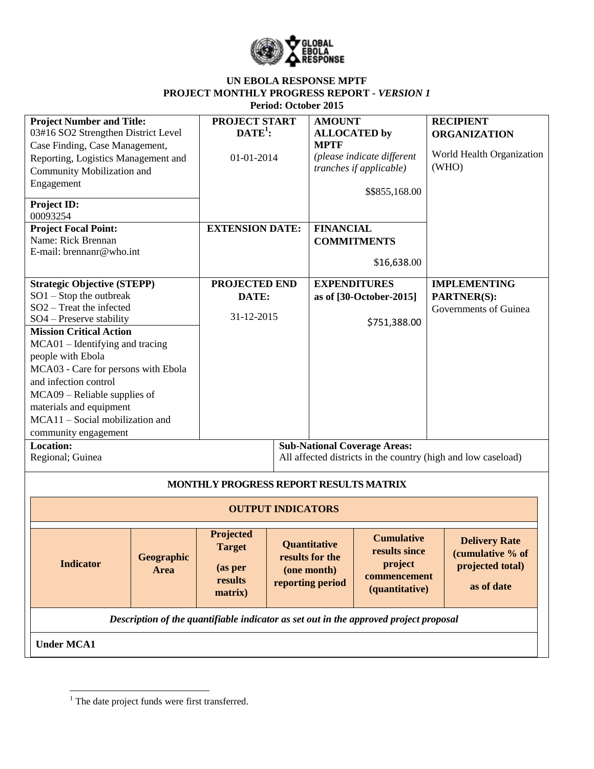

### **UN EBOLA RESPONSE MPTF PROJECT MONTHLY PROGRESS REPORT** *- VERSION 1* **Period: October 2015**

| <b>Project Number and Title:</b><br>03#16 SO2 Strengthen District Level<br>Case Finding, Case Management,<br>Reporting, Logistics Management and<br>Community Mobilization and<br>Engagement                                                                                                                                                                                                                             | PROJECT START<br>$\text{DATE}^1$ :<br>01-01-2014                   | <b>AMOUNT</b><br><b>ALLOCATED</b> by<br><b>MPTF</b>                | (please indicate different<br><i>tranches if applicable)</i><br>\$\$855,168.00  | <b>RECIPIENT</b><br><b>ORGANIZATION</b><br>World Health Organization<br>(WHO) |
|--------------------------------------------------------------------------------------------------------------------------------------------------------------------------------------------------------------------------------------------------------------------------------------------------------------------------------------------------------------------------------------------------------------------------|--------------------------------------------------------------------|--------------------------------------------------------------------|---------------------------------------------------------------------------------|-------------------------------------------------------------------------------|
| Project ID:<br>00093254<br><b>Project Focal Point:</b><br>Name: Rick Brennan<br>E-mail: brennanr@who.int                                                                                                                                                                                                                                                                                                                 | <b>EXTENSION DATE:</b>                                             | <b>FINANCIAL</b>                                                   | <b>COMMITMENTS</b><br>\$16,638.00                                               |                                                                               |
| <b>Strategic Objective (STEPP)</b><br>$SO1 - Stop$ the outbreak<br>$SO2$ – Treat the infected<br>SO4 - Preserve stability<br><b>Mission Critical Action</b><br>MCA01 - Identifying and tracing<br>people with Ebola<br>MCA03 - Care for persons with Ebola<br>and infection control<br>$MCA09 - Reliable$ supplies of<br>materials and equipment<br>MCA11 - Social mobilization and<br>community engagement<br>Location: | PROJECTED END<br>DATE:<br>31-12-2015                               | <b>EXPENDITURES</b>                                                | as of [30-October-2015]<br>\$751,388.00<br><b>Sub-National Coverage Areas:</b>  | <b>IMPLEMENTING</b><br>PARTNER(S):<br>Governments of Guinea                   |
| Regional; Guinea                                                                                                                                                                                                                                                                                                                                                                                                         |                                                                    |                                                                    |                                                                                 | All affected districts in the country (high and low caseload)                 |
|                                                                                                                                                                                                                                                                                                                                                                                                                          | MONTHLY PROGRESS REPORT RESULTS MATRIX<br><b>OUTPUT INDICATORS</b> |                                                                    |                                                                                 |                                                                               |
| Geographic<br><b>Indicator</b><br><b>Area</b>                                                                                                                                                                                                                                                                                                                                                                            | Projected<br><b>Target</b><br>(as per<br>results<br>matrix)        | Quantitative<br>results for the<br>(one month)<br>reporting period | <b>Cumulative</b><br>results since<br>project<br>commencement<br>(quantitative) | <b>Delivery Rate</b><br>(cumulative % of<br>projected total)<br>as of date    |
| Description of the quantifiable indicator as set out in the approved project proposal<br><b>Under MCA1</b>                                                                                                                                                                                                                                                                                                               |                                                                    |                                                                    |                                                                                 |                                                                               |

 $1$  The date project funds were first transferred.

 $\overline{a}$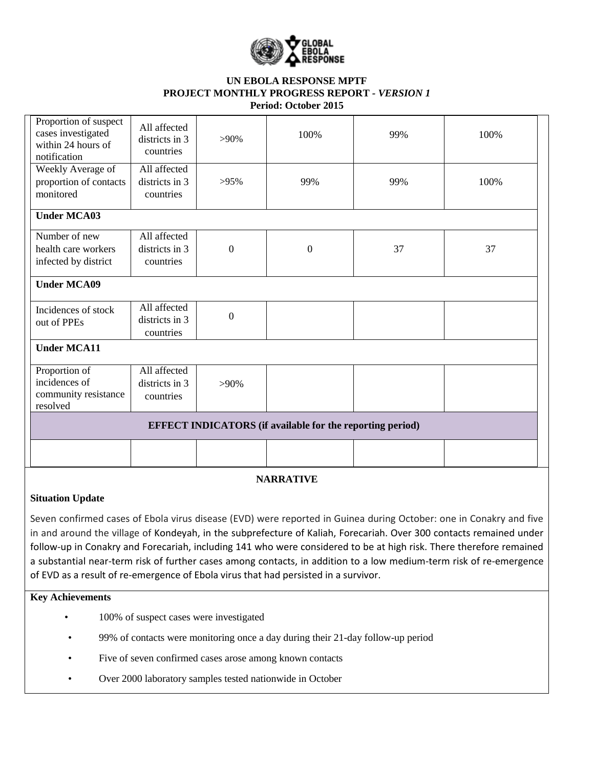

#### **UN EBOLA RESPONSE MPTF PROJECT MONTHLY PROGRESS REPORT** *- VERSION 1* **Period: October 2015**

|                                                                                   |                                             |                  | <b>EFFECT INDICATORS</b> (if available for the reporting period) |     |      |
|-----------------------------------------------------------------------------------|---------------------------------------------|------------------|------------------------------------------------------------------|-----|------|
| resolved                                                                          |                                             |                  |                                                                  |     |      |
| community resistance                                                              | countries                                   |                  |                                                                  |     |      |
| incidences of                                                                     | districts in 3                              | $>90\%$          |                                                                  |     |      |
| Proportion of                                                                     | All affected                                |                  |                                                                  |     |      |
| <b>Under MCA11</b>                                                                |                                             |                  |                                                                  |     |      |
|                                                                                   | countries                                   |                  |                                                                  |     |      |
| out of PPEs                                                                       | districts in 3                              | $\boldsymbol{0}$ |                                                                  |     |      |
| Incidences of stock                                                               | All affected                                |                  |                                                                  |     |      |
| <b>Under MCA09</b>                                                                |                                             |                  |                                                                  |     |      |
| infected by district                                                              | countries                                   |                  |                                                                  |     |      |
| health care workers                                                               | districts in 3                              | $\boldsymbol{0}$ | $\boldsymbol{0}$                                                 | 37  | 37   |
| Number of new                                                                     | All affected                                |                  |                                                                  |     |      |
| <b>Under MCA03</b>                                                                |                                             |                  |                                                                  |     |      |
| monitored                                                                         | countries                                   |                  |                                                                  |     |      |
| proportion of contacts                                                            | districts in 3                              | $>95\%$          | 99%                                                              | 99% | 100% |
| Weekly Average of                                                                 | All affected                                |                  |                                                                  |     |      |
| Proportion of suspect<br>cases investigated<br>within 24 hours of<br>notification | All affected<br>districts in 3<br>countries | $>90\%$          | 100%                                                             | 99% | 100% |

# **NARRATIVE**

# **Situation Update**

Seven confirmed cases of Ebola virus disease (EVD) were reported in Guinea during October: one in Conakry and five in and around the village of Kondeyah, in the subprefecture of Kaliah, Forecariah. Over 300 contacts remained under follow-up in Conakry and Forecariah, including 141 who were considered to be at high risk. There therefore remained a substantial near-term risk of further cases among contacts, in addition to a low medium-term risk of re-emergence of EVD as a result of re-emergence of Ebola virus that had persisted in a survivor.

### **Key Achievements**

- 100% of suspect cases were investigated
- 99% of contacts were monitoring once a day during their 21-day follow-up period
- Five of seven confirmed cases arose among known contacts
- Over 2000 laboratory samples tested nationwide in October